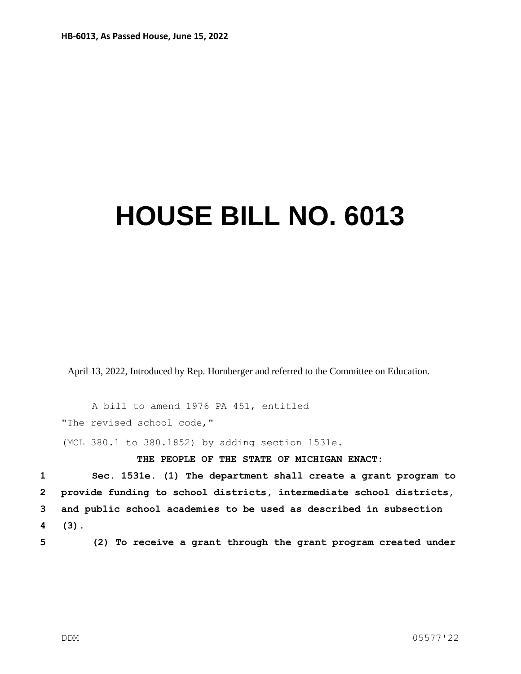## **HOUSE BILL NO. 6013**

April 13, 2022, Introduced by Rep. Hornberger and referred to the Committee on Education.

A bill to amend 1976 PA 451, entitled "The revised school code," (MCL 380.1 to 380.1852) by adding section 1531e.

**THE PEOPLE OF THE STATE OF MICHIGAN ENACT:**

 **Sec. 1531e. (1) The department shall create a grant program to provide funding to school districts, intermediate school districts, and public school academies to be used as described in subsection 4 (3).**

**5 (2) To receive a grant through the grant program created under**